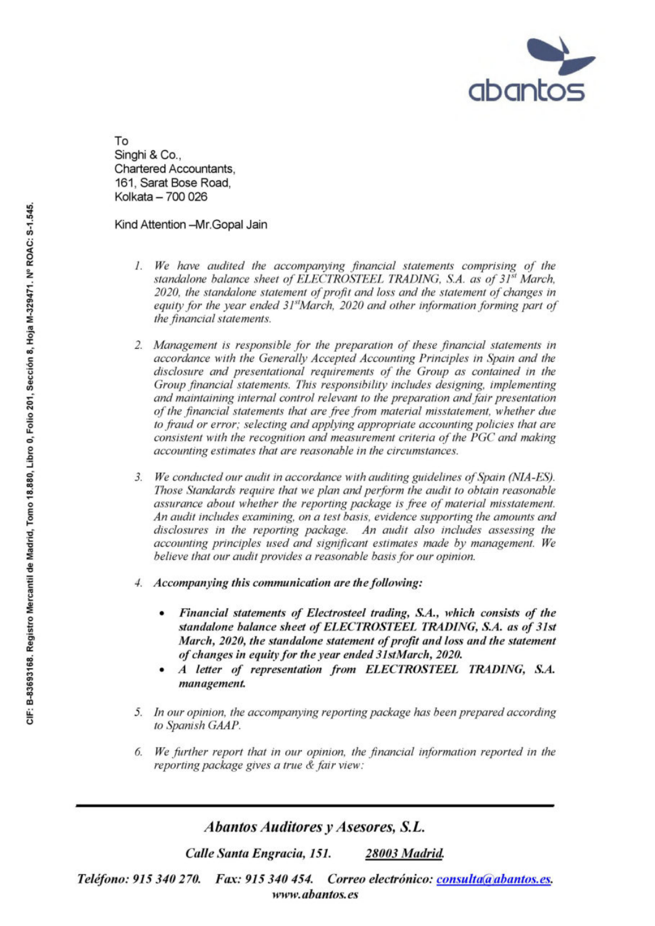

To Singhi & Co., Chartered Accountants, 161, Sarat Bose Road, Kolkata — 700 026

Kind Attention -Mr. Gopal Jain

- <sup>I</sup>. We have audited <sup>t</sup>h<sup>e</sup> accompanying financial statements comprising of <sup>t</sup>h<sup>e</sup> standalone balance sheet of ELECTROSTEEL TRADING, S.A. as of 31st March, 2020, the standalone statement of profit and loss and the statement of changes <sup>i</sup><sup>n</sup> equity for the year ended 31<sup>st</sup>March, 2020 and other information forming part of the financial statements.
- <sup>2</sup>. Management <sup>i</sup><sup>s</sup> responsible <sup>f</sup>o<sup>r</sup> <sup>t</sup>h<sup>e</sup> preparation <sup>o</sup><sup>f</sup> <sup>t</sup>hes<sup>e</sup> financial statements <sup>i</sup><sup>n</sup> accordance with the Generally Accepted Accounting Principles <sup>i</sup><sup>n</sup> Spain and <sup>t</sup>h<sup>e</sup> disclosure and presentational requirements of <sup>t</sup>h<sup>e</sup> Group <sup>a</sup><sup>s</sup> contained <sup>i</sup><sup>n</sup> <sup>t</sup>h<sup>e</sup> Group financial statements. This responsibility includes designing, implementing and maintaining internal control relevant <sup>t</sup><sup>o</sup> the preparation and fair presentation of the financial statements that are free from material misstatement, whether due <sup>t</sup><sup>o</sup> fraud <sup>o</sup><sup>r</sup> error; selecting and applying appropriate accounting policies that are consistent <sup>w</sup>it<sup>h</sup> <sup>t</sup>h<sup>e</sup> recognition and measurement <sup>c</sup>riteri<sup>a</sup> <sup>o</sup><sup>f</sup> <sup>t</sup>h<sup>e</sup> PGC and making accounting estimates that are reasonable <sup>i</sup><sup>n</sup> <sup>t</sup>h<sup>e</sup> circumstances. 2. Management is responsible for<br>accordance with the Generally disclosure and presentational r<br>divergendia statements. This<br>and maintaining internal control<br>of the financial statements that to<br>to froud or error; selecting
	- <sup>3</sup>. We conducted our audit <sup>i</sup><sup>n</sup> accordance with auditing guidelines of Spain (NIA-ES). Those Standards require that we plan and perform the audit <sup>t</sup><sup>o</sup> obtain reasonable assurance about whether <sup>t</sup>h<sup>e</sup> reporting package <sup>i</sup><sup>s</sup> free of material misstatement. An audit includes examining, on <sup>a</sup> <sup>t</sup>es<sup>t</sup> basis, evidence supporting <sup>t</sup>h<sup>e</sup> amounts and disclosures <sup>i</sup><sup>n</sup> the reporting package. An audit also includes assessing the accounting principles used and significant estimates made by management. We believe that our audit provides <sup>a</sup> reasonable basis for our opinion.
	- <sup>4</sup>. Accompanying <sup>t</sup>hi<sup>s</sup> communication <sup>a</sup>r<sup>e</sup> <sup>t</sup>h<sup>e</sup> following:
		- <sup>e</sup> Financial statements of Electrosteel trading, S.A., which consists of the <sup>s</sup>tandalon<sup>e</sup> <sup>b</sup>alanc<sup>e</sup> <sup>s</sup>hee<sup>t</sup> <sup>o</sup><sup>f</sup> ELECTROSTEEL TRADING, <sup>S</sup>.A. <sup>a</sup><sup>s</sup> <sup>o</sup><sup>f</sup> <sup>3</sup>1s<sup>t</sup> March, 2020, the standalone statement of profit and loss and the statement of changes <sup>i</sup><sup>n</sup> equity for the year ended 31stMarch, 2020.
		- A letter of representation from ELECTROSTEEL TRADING, S.A. management.
	- <sup>5</sup>. <sup>I</sup><sup>n</sup> our opinion, <sup>t</sup>h<sup>e</sup> accompanying reporting package has been prepared according <sup>t</sup><sup>o</sup> Spanish GAAP.
	- <sup>6</sup>. We further report that <sup>i</sup><sup>n</sup> our opinion, the financial information reported <sup>i</sup><sup>n</sup> the reporting package gives <sup>a</sup> true & fair view:

Abantos Auditores <sup>y</sup> Asesores, S.L.

Calle Santa Engracia, 151. 28003 Madrid.

Teléfono: 915 340 270. Fax: 915 340 454. Correo electrónico: consulta@abantos.es. www. abantos. es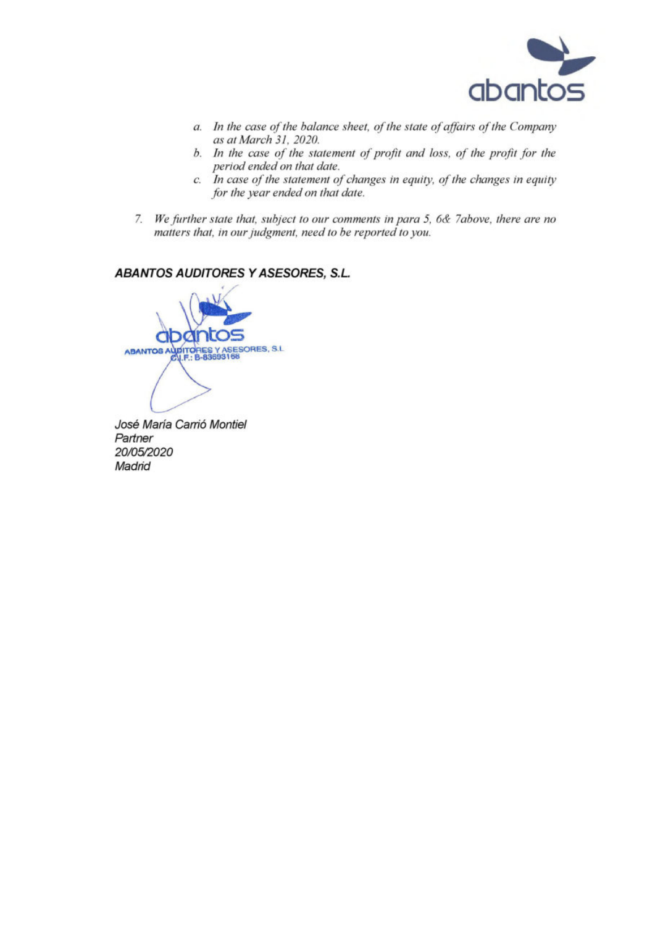

- <sup>a</sup>. <sup>I</sup><sup>n</sup> <sup>t</sup>h<sup>e</sup> case <sup>o</sup><sup>f</sup> <sup>t</sup>h<sup>e</sup> balance <sup>s</sup>heet, <sup>o</sup><sup>f</sup> <sup>t</sup>h<sup>e</sup> <sup>s</sup>tat<sup>e</sup> <sup>o</sup><sup>f</sup> <sup>a</sup>ffair<sup>s</sup> <sup>o</sup><sup>f</sup> <sup>t</sup>h<sup>e</sup> Company <sup>a</sup><sup>s</sup> <sup>a</sup><sup>t</sup> March <sup>3</sup>1, 2020.
- <sup>b</sup>. In the case of the statement of profit and loss, of the profit for the period ended on that date.
- <sup>c</sup>. Incase of <sup>t</sup>h<sup>e</sup> statement of changes <sup>i</sup><sup>n</sup> equity, of <sup>t</sup>h<sup>e</sup> changes <sup>i</sup><sup>n</sup> equity for the year ended on that date.
- <sup>7</sup>. We further state <sup>t</sup>hat, subject <sup>t</sup><sup>o</sup> our comments <sup>i</sup><sup>n</sup> para <sup>5</sup>, 6& 7above, there are no matters <sup>t</sup>hat, <sup>i</sup><sup>n</sup> our judgment, need <sup>t</sup><sup>o</sup> be reported <sup>t</sup><sup>o</sup> you.

## ABANTOS AUDITORES <sup>Y</sup> ASESORES, <sup>S</sup>.L.

se TORES Y ASESORES, S.L 83693168

José Maria Carrié Montiel **Partner** 20/05/2020 **Madrid**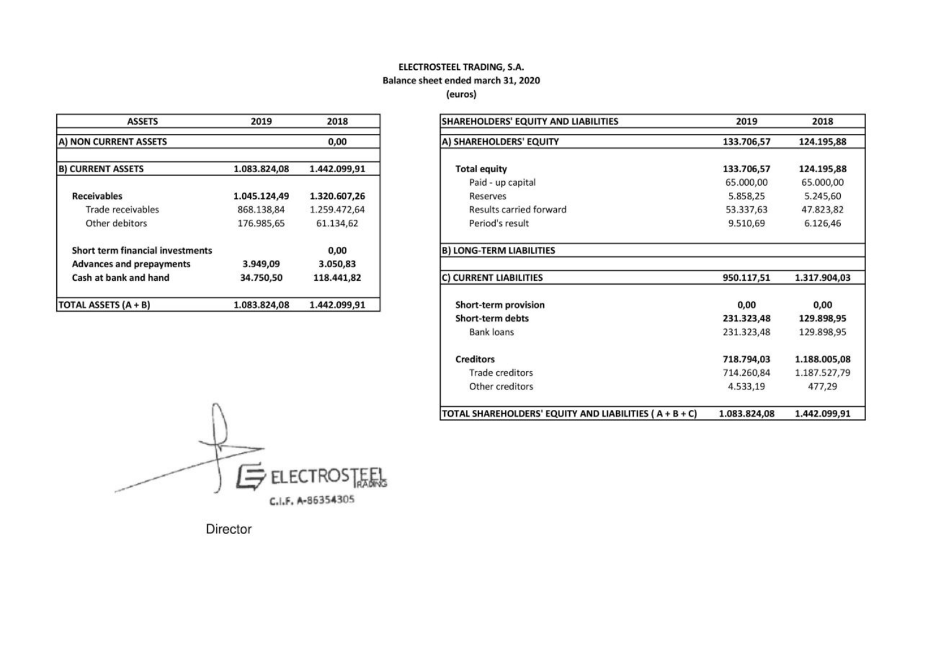## ELECTROSTEEL TRADING, S.A. Balance sheet ended march 31, 2020

(euros)

| <b>ASSETS</b>                           | 2019<br>2018 |              |  |
|-----------------------------------------|--------------|--------------|--|
| A) NON CURRENT ASSETS                   |              | 0,00         |  |
| <b>B) CURRENT ASSETS</b>                | 1.083.824,08 | 1.442.099,91 |  |
| <b>Receivables</b>                      | 1.045.124,49 | 1.320.607,26 |  |
| Trade receivables                       | 868.138,84   | 1.259.472,64 |  |
| Other debitors                          | 176.985,65   | 61.134,62    |  |
| <b>Short term financial investments</b> |              | 0,00         |  |
| <b>Advances and prepayments</b>         | 3.949,09     | 3.050,83     |  |
| Cash at bank and hand                   | 34.750.50    | 118.441.82   |  |
| <b>TOTAL ASSETS (A + B)</b>             | 1.083.824,08 | 1.442.099,91 |  |

| SHAREHOLDERS' EQUITY AND LIABILITIES                   | 2019         | 2018         |  |
|--------------------------------------------------------|--------------|--------------|--|
| A) SHAREHOLDERS' EQUITY                                | 133.706,57   | 124.195,88   |  |
| <b>Total equity</b>                                    | 133.706,57   | 124.195,88   |  |
| Paid - up capital                                      | 65.000,00    | 65.000,00    |  |
| Reserves                                               | 5.858,25     | 5.245,60     |  |
| Results carried forward                                | 53.337,63    | 47.823,82    |  |
| Period's result                                        | 9.510,69     | 6.126,46     |  |
| <b>B) LONG-TERM LIABILITIES</b>                        |              |              |  |
| C) CURRENT LIABILITIES                                 | 950.117,51   | 1.317.904,03 |  |
| Short-term provision                                   | 0,00         | 0,00         |  |
| <b>Short-term debts</b>                                | 231.323,48   | 129.898,95   |  |
| <b>Bank loans</b>                                      | 231.323,48   | 129.898,95   |  |
| <b>Creditors</b>                                       | 718.794,03   | 1.188.005,08 |  |
| <b>Trade creditors</b>                                 | 714.260,84   | 1.187.527,79 |  |
| Other creditors                                        | 4.533,19     | 477,29       |  |
| TOTAL SHAREHOLDERS' EQUITY AND LIABILITIES (A + B + C) | 1.083.824,08 | 1.442.099,91 |  |



Director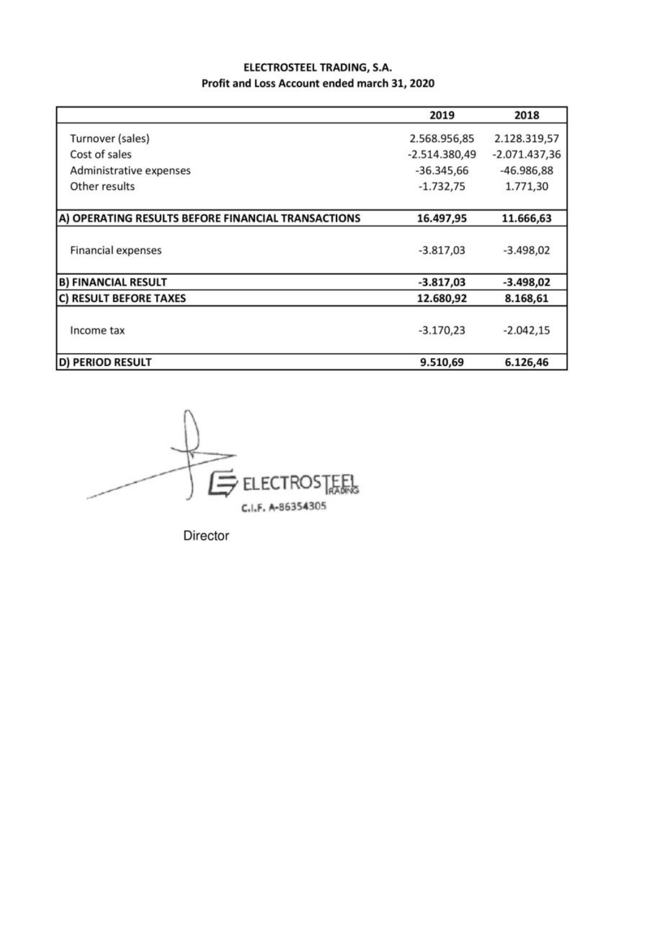## **ELECTROSTEEL TRADING, S.A.** Profit and Loss Account ended march 31, 2020

|                                                    | 2019            | 2018            |
|----------------------------------------------------|-----------------|-----------------|
| Turnover (sales)                                   | 2.568.956,85    | 2.128.319,57    |
| Cost of sales                                      | $-2.514.380,49$ | $-2.071.437,36$ |
| Administrative expenses                            | $-36.345,66$    | $-46.986,88$    |
| Other results                                      | $-1.732,75$     | 1.771,30        |
| A) OPERATING RESULTS BEFORE FINANCIAL TRANSACTIONS | 16.497,95       | 11.666,63       |
| <b>Financial expenses</b>                          | $-3.817,03$     | $-3.498,02$     |
| <b>B) FINANCIAL RESULT</b>                         | $-3.817,03$     | $-3.498,02$     |
| C) RESULT BEFORE TAXES                             | 12.680,92       | 8.168,61        |
| Income tax                                         | $-3.170,23$     | $-2.042,15$     |
| <b>D) PERIOD RESULT</b>                            | 9.510,69        | 6.126,46        |



Director